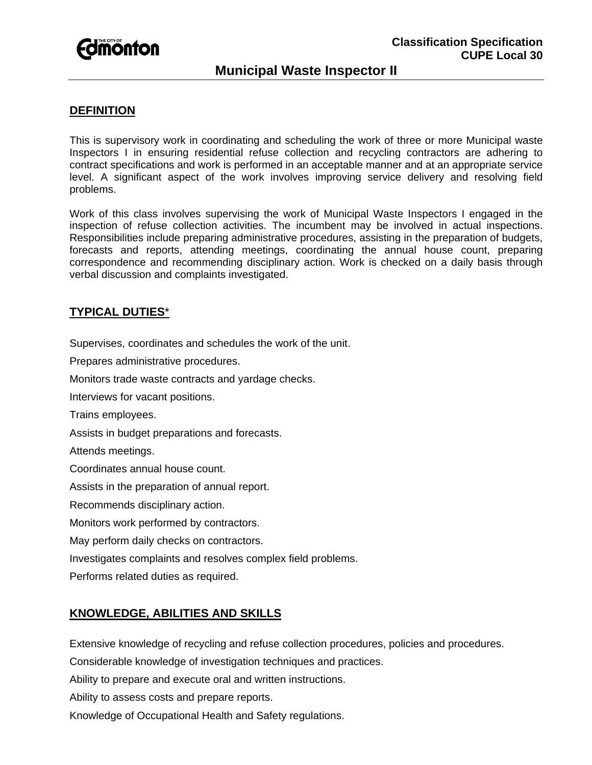

# **Municipal Waste Inspector II**

#### **DEFINITION**

This is supervisory work in coordinating and scheduling the work of three or more Municipal waste Inspectors I in ensuring residential refuse collection and recycling contractors are adhering to contract specifications and work is performed in an acceptable manner and at an appropriate service level. A significant aspect of the work involves improving service delivery and resolving field problems.

Work of this class involves supervising the work of Municipal Waste Inspectors I engaged in the inspection of refuse collection activities. The incumbent may be involved in actual inspections. Responsibilities include preparing administrative procedures, assisting in the preparation of budgets, forecasts and reports, attending meetings, coordinating the annual house count, preparing correspondence and recommending disciplinary action. Work is checked on a daily basis through verbal discussion and complaints investigated.

#### **TYPICAL DUTIES**\*

Supervises, coordinates and schedules the work of the unit.

Prepares administrative procedures.

Monitors trade waste contracts and yardage checks.

Interviews for vacant positions.

Trains employees.

Assists in budget preparations and forecasts.

Attends meetings.

Coordinates annual house count.

Assists in the preparation of annual report.

Recommends disciplinary action.

Monitors work performed by contractors.

May perform daily checks on contractors.

Investigates complaints and resolves complex field problems.

Performs related duties as required.

## **KNOWLEDGE, ABILITIES AND SKILLS**

Extensive knowledge of recycling and refuse collection procedures, policies and procedures.

Considerable knowledge of investigation techniques and practices.

Ability to prepare and execute oral and written instructions.

Ability to assess costs and prepare reports.

Knowledge of Occupational Health and Safety regulations.